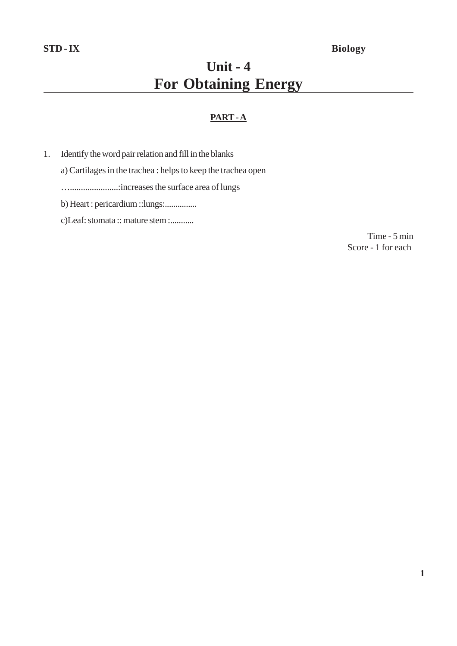# **Unit - 4 For Obtaining Energy**

# **PART - A**

- 1. Identify the word pair relation and fill in the blanks
	- a) Cartilages in the trachea : helps to keep the trachea open
	- …......................:increases the surface area of lungs
	- b) Heart : pericardium ::lungs:...............
	- c)Leaf: stomata :: mature stem :...........

Time - 5 min Score - 1 for each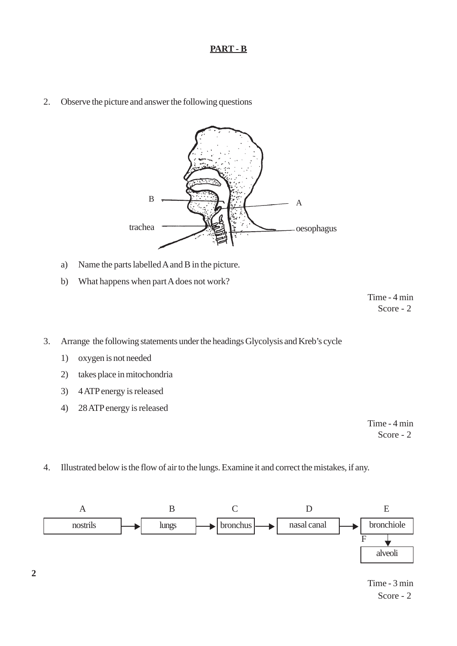## **PART - B**

2. Observe the picture and answer the following questions



- a) Name the parts labelled A and B in the picture.
- b) What happens when part A does not work?

Time - 4 min Score - 2

- 3. Arrange the following statements under the headings Glycolysis and Kreb's cycle
	- 1) oxygen is not needed
	- 2) takes place in mitochondria
	- 3) 4 ATP energy is released
	- 4) 28 ATP energy is released

Time - 4 min Score - 2

4. Illustrated below is the flow of air to the lungs. Examine it and correct the mistakes, if any.

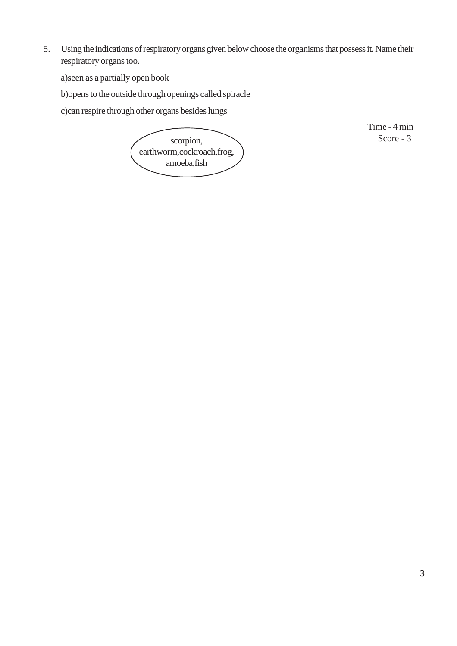5. Using the indications of respiratory organs given below choose the organisms that possess it. Name their respiratory organs too.

a)seen as a partially open book

b)opens to the outside through openings called spiracle

c)can respire through other organs besides lungs



Time - 4 min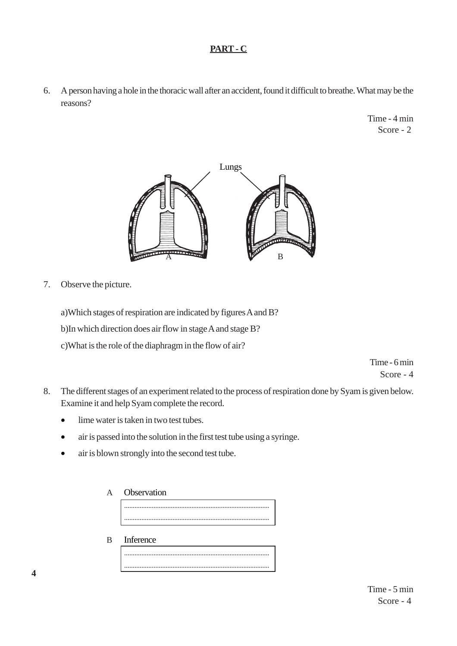# **PART - C**

6. A person having a hole in the thoracic wall after an accident, found it difficult to breathe. What may be the reasons?

> Time - 4 min Score - 2



7. Observe the picture.

a)Which stages of respiration are indicated by figures A and B? b)In which direction does air flow in stage A and stage B? c)What is the role of the diaphragm in the flow of air?

> Time - 6 min Score - 4

- 8. The different stages of an experiment related to the process of respiration done by Syam is given below. Examine it and help Syam complete the record.
	- lime water is taken in two test tubes.
	- air is passed into the solution in the first test tube using a syringe.
	- air is blown strongly into the second test tube.

| А | Observation |  |  |  |  |  |
|---|-------------|--|--|--|--|--|
|   |             |  |  |  |  |  |
|   |             |  |  |  |  |  |

B Inference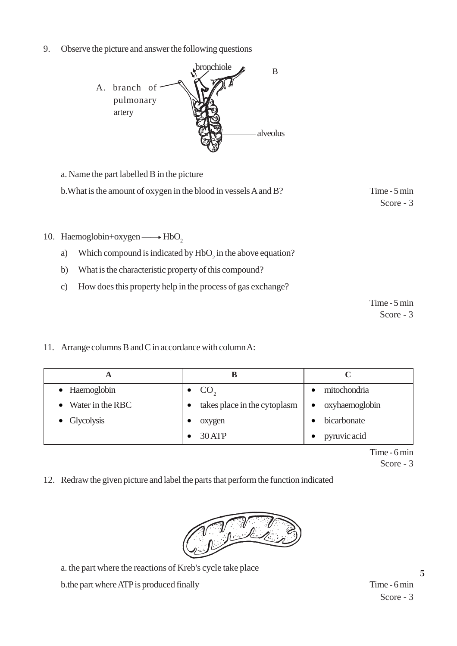9. Observe the picture and answer the following questions



a. Name the part labelled B in the picture

b. What is the amount of oxygen in the blood in vessels A and B? Time - 5 min

Score - 3

- 10. Haemoglobin+oxygen  $\longrightarrow$  HbO<sub>2</sub>
	- a) Which compound is indicated by  $HbO<sub>2</sub>$  in the above equation?
	- b) What is the characteristic property of this compound?
	- c) How does this property help in the process of gas exchange?

Time - 5 min Score - 3

11. Arrange columns B and C in accordance with column A:

| A                          |                              |                             |
|----------------------------|------------------------------|-----------------------------|
| • Haemoglobin              | $\bullet$ CO <sub>2</sub>    | mitochondria                |
| $\bullet$ Water in the RBC | takes place in the cytoplasm | oxyhaemoglobin<br>$\bullet$ |
| • Glycolysis               | oxygen                       | bicarbonate                 |
|                            | 30 ATP                       | pyruvic acid<br>$\bullet$   |

Time - 6 min

Score - 3

12. Redraw the given picture and label the parts that perform the function indicated



a. the part where the reactions of Kreb's cycle take place

b.the part where ATP is produced finally Time - 6 min

Score - 3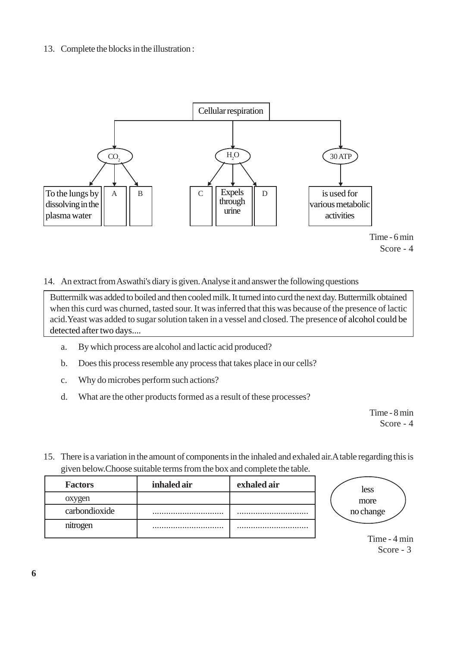# 13. Complete the blocks in the illustration :



Time - 6 min Score - 4

#### 14. An extract from Aswathi's diary is given. Analyse it and answer the following questions

Buttermilk was added to boiled and then cooled milk. It turned into curd the next day. Buttermilk obtained when this curd was churned, tasted sour. It was inferred that this was because of the presence of lactic acid.Yeast was added to sugar solution taken in a vessel and closed. The presence of alcohol could be detected after two days....

- a. By which process are alcohol and lactic acid produced?
- b. Does this process resemble any process that takes place in our cells?
- c. Why do microbes perform such actions?
- d. What are the other products formed as a result of these processes?

Time - 8 min Score - 4

15. There is a variation in the amount of components in the inhaled and exhaled air.A table regarding this is given below.Choose suitable terms from the box and complete the table.

| <b>Factors</b> | inhaled air | exhaled air |
|----------------|-------------|-------------|
| oxygen         |             |             |
| carbondioxide  |             |             |
| nitrogen       |             |             |



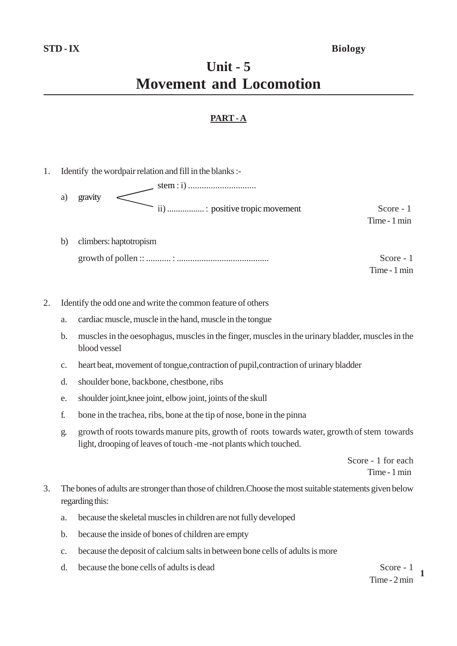# **Unit - 5 Movement and Locomotion**

# **PART - A**

- 1. Identify the wordpair relation and fill in the blanks : stem : i) .............................. a) gravity ii) .................. : positive tropic movement Score - 1 Time - 1 min
	- b) climbers: haptotropism growth of pollen :: ........... : ......................................... Score - 1

Time - 1 min

- 2. Identify the odd one and write the common feature of others
	- a. cardiac muscle, muscle in the hand, muscle in the tongue
	- b. muscles in the oesophagus, muscles in the finger, muscles in the urinary bladder, muscles in the blood vessel
	- c. heart beat, movement of tongue,contraction of pupil,contraction of urinary bladder
	- d. shoulder bone, backbone, chestbone, ribs
	- e. shoulder joint,knee joint, elbow joint, joints of the skull
	- f. bone in the trachea, ribs, bone at the tip of nose, bone in the pinna
	- g. growth of roots towards manure pits, growth of roots towards water, growth of stem towards light, drooping of leaves of touch -me -not plants which touched.

Score - 1 for each Time - 1 min

- 3. The bones of adults are stronger than those of children.Choose the most suitable statements given below regarding this:
	- a. because the skeletal muscles in children are not fully developed
	- b. because the inside of bones of children are empty
	- c. because the deposit of calcium salts in between bone cells of adults is more
	- d. because the bone cells of adults is dead Score 1

**1** Time - 2 min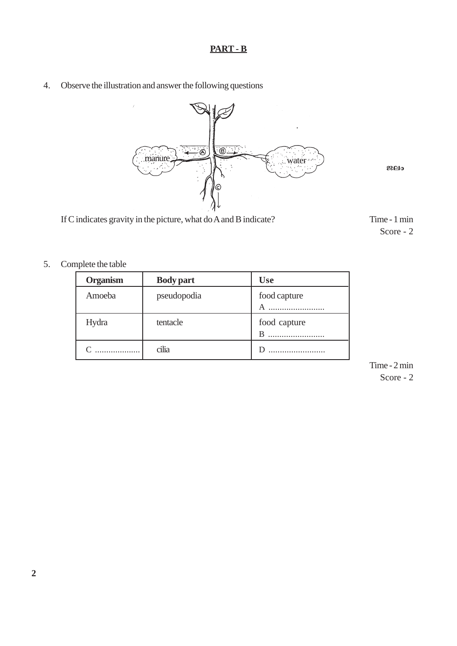# **PART - B**

4. Observe the illustration and answer the following questions



**Pew**

If C indicates gravity in the picture, what do A and B indicate? Time - 1 min

Score - 2

5. Complete the table

| <b>Organism</b> | <b>Body part</b> | <b>Use</b>        |
|-----------------|------------------|-------------------|
| Amoeba          | pseudopodia      | food capture      |
| Hydra           | tentacle         | food capture<br>B |
|                 | cilia            |                   |

Time - 2 min Score - 2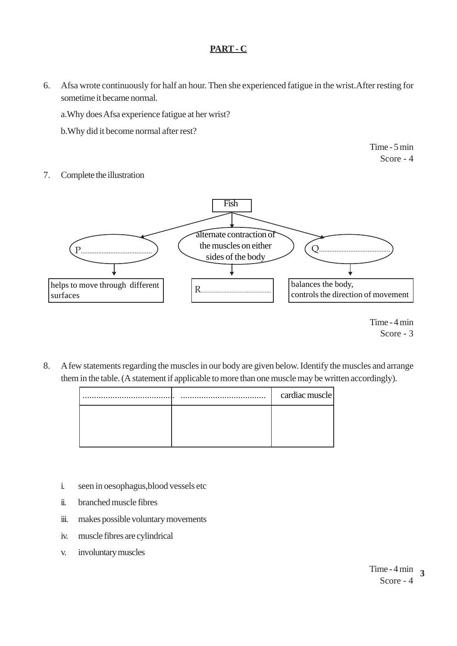# **PART - C**

6. Afsa wrote continuously for half an hour. Then she experienced fatigue in the wrist.After resting for sometime it became normal.

a.Why does Afsa experience fatigue at her wrist?

b.Why did it become normal after rest?

Time - 5 min Score - 4

### 7. Complete the illustration



Time - 4 min Score - 3

8. A few statements regarding the muscles in our body are given below. Identify the muscles and arrange them in the table. (A statement if applicable to more than one muscle may be written accordingly).

| $\cdots$ | <br>cardiac muscle |
|----------|--------------------|
|          |                    |
|          |                    |
|          |                    |

- i. seen in oesophagus,blood vessels etc
- ii. branched muscle fibres
- iii. makes possible voluntary movements
- iv. muscle fibres are cylindrical
- v. involuntary muscles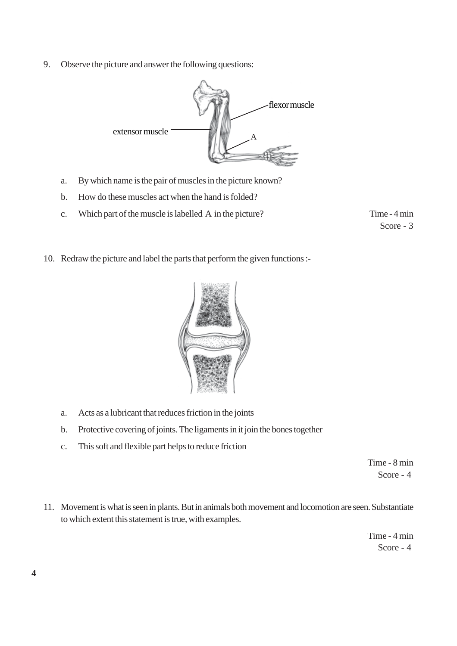9. Observe the picture and answer the following questions:



- a. By which name is the pair of muscles in the picture known?
- b. How do these muscles act when the hand is folded?
- c. Which part of the muscle is labelled A in the picture? Time 4 min

Score - 3

10. Redraw the picture and label the parts that perform the given functions :-



- a. Acts as a lubricant that reduces friction in the joints
- b. Protective covering of joints. The ligaments in it join the bones together
- c. This soft and flexible part helps to reduce friction

Time - 8 min Score - 4

11. Movement is what is seen in plants. But in animals both movement and locomotion are seen. Substantiate to which extent this statement is true, with examples.

> Time - 4 min Score - 4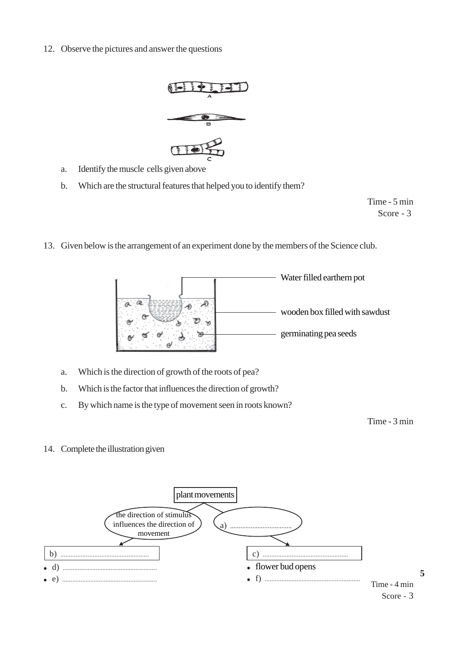12. Observe the pictures and answer the questions



- a. Identify the muscle cells given above
- b. Which are the structural features that helped you to identify them?

Time - 5 min Score - 3

13. Given below is the arrangement of an experiment done by the members of the Science club.



- a. Which is the direction of growth of the roots of pea?
- b. Which is the factor that influences the direction of growth?
- c. By which name is the type of movement seen in roots known?

Time - 3 min

14. Complete the illustration given

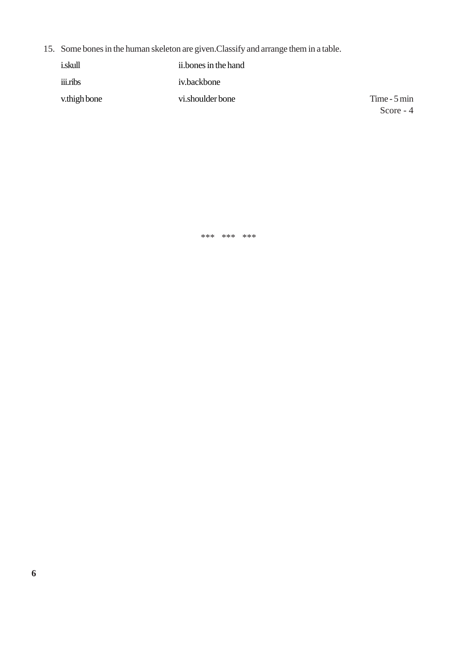15. Some bones in the human skeleton are given.Classify and arrange them in a table.

| <i>i.skull</i> | ii.bones in the hand |               |
|----------------|----------------------|---------------|
| iii.ribs       | iv.backbone          |               |
| v.thigh bone   | vi.shoulder bone     | Time $-5$ min |
|                |                      | Score $-4$    |

\*\*\* \*\*\* \*\*\*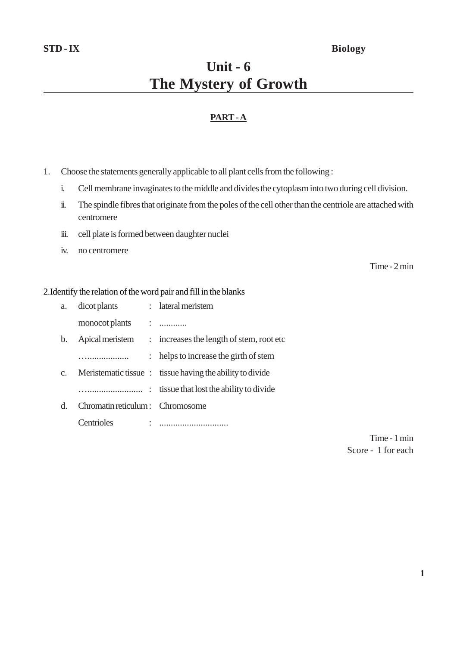# **STD - IX Biology**

# **Unit - 6 The Mystery of Growth**

# **PART - A**

- 1. Choose the statements generally applicable to all plant cells from the following :
	- i. Cell membrane invaginates to the middle and divides the cytoplasm into two during cell division.
	- ii. The spindle fibres that originate from the poles of the cell other than the centriole are attached with centromere
	- iii. cell plate is formed between daughter nuclei
	- iv. no centromere

Time - 2 min

#### 2.Identify the relation of the word pair and fill in the blanks

| a.             | dicot plants                    | : lateral meristem                                       |
|----------------|---------------------------------|----------------------------------------------------------|
|                | monocot plants                  |                                                          |
| b.             |                                 | Apical meristem : increases the length of stem, root etc |
|                |                                 | : helps to increase the girth of stem                    |
| C <sub>1</sub> |                                 | Meristematic tissue: tissue having the ability to divide |
|                | $\ddot{\phantom{a}}$            | tissue that lost the ability to divide                   |
| $\mathbf{d}$ . | Chromatin reticulum: Chromosome |                                                          |
|                | Centrioles                      |                                                          |

Time - 1 min Score - 1 for each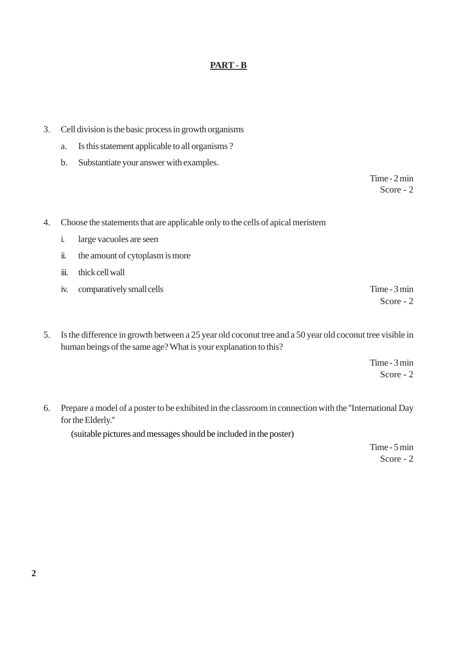### **PART - B**

- 3. Cell division is the basic process in growth organisms
	- a. Is this statement applicable to all organisms ?
	- b. Substantiate your answer with examples.

Time - 2 min Score - 2

- 4. Choose the statements that are applicable only to the cells of apical meristem
	- i. large vacuoles are seen
	- ii. the amount of cytoplasm is more
	- iii. thick cell wall
	- iv. comparatively small cells Time 3 min

Score - 2

5. Is the difference in growth between a 25 year old coconut tree and a 50 year old coconut tree visible in human beings of the same age? What is your explanation to this?

> Time - 3 min Score - 2

6. Prepare a model of a poster to be exhibited in the classroom in connection with the ''International Day for the Elderly.''

(suitable pictures and messages should be included in the poster)

Time - 5 min Score - 2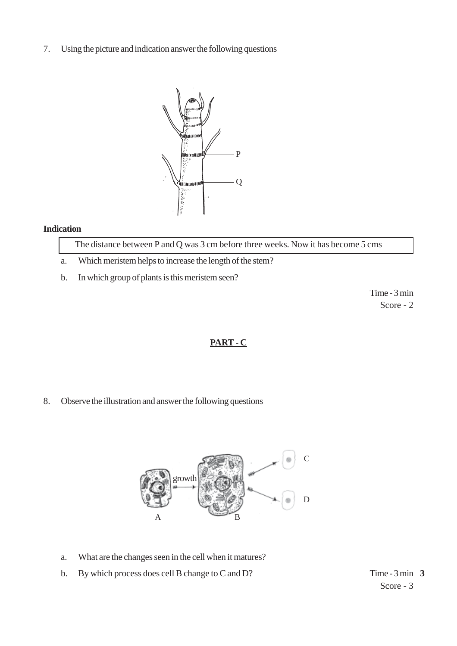7. Using the picture and indication answer the following questions



#### **Indication**

The distance between P and Q was 3 cm before three weeks. Now it has become 5 cms

- a. Which meristem helps to increase the length of the stem?
- b. In which group of plants is this meristem seen?

Time - 3 min Score - 2

### **PART - C**

8. Observe the illustration and answer the following questions



- a. What are the changes seen in the cell when it matures?
- b. By which process does cell B change to C and  $D$ ?

Time - 3 min 3 Score - 3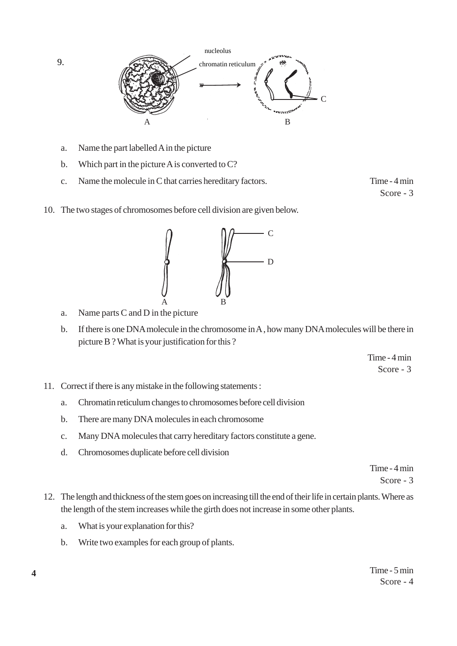

- a. Name the part labelled A in the picture
- b. Which part in the picture A is converted to C?
- c. Name the molecule in C that carries hereditary factors. Time 4 min

Score - 3

10. The two stages of chromosomes before cell division are given below.



- a. Name parts C and D in the picture
- b. If there is one DNA molecule in the chromosome in A , how many DNA molecules will be there in picture B ? What is your justification for this ?

Time - 4 min Score - 3

- 11. Correct if there is any mistake in the following statements :
	- a. Chromatin reticulum changes to chromosomes before cell division
	- b. There are many DNA molecules in each chromosome
	- c. Many DNA molecules that carry hereditary factors constitute a gene.
	- d. Chromosomes duplicate before cell division

Time - 4 min Score - 3

- 12. The length and thickness of the stem goes on increasing till the end of their life in certain plants. Where as the length of the stem increases while the girth does not increase in some other plants.
	- a. What is your explanation for this?
	- b. Write two examples for each group of plants.

9.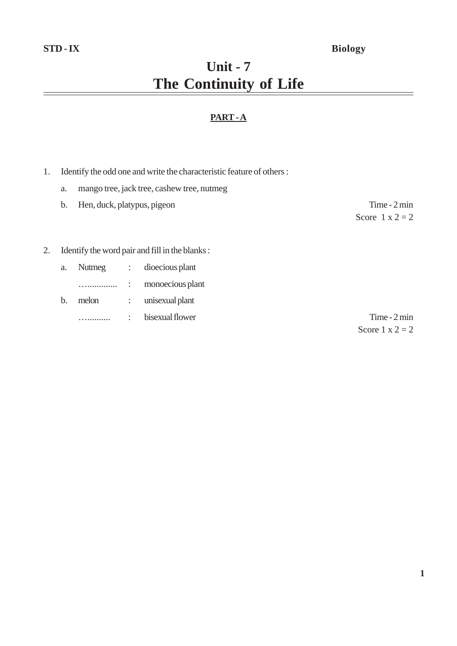# **Unit - 7 The Continuity of Life**

# **PART - A**

- 1. Identify the odd one and write the characteristic feature of others :
	- a. mango tree, jack tree, cashew tree, nutmeg

|    | b. | Hen, duck, platypus, pigeon |                                                | Time $-2$ min          |
|----|----|-----------------------------|------------------------------------------------|------------------------|
|    |    |                             |                                                | Score $1 \times 2 = 2$ |
|    |    |                             |                                                |                        |
| 2. |    |                             | Identify the word pair and fill in the blanks: |                        |
|    | a. |                             | Nutmeg : dioecious plant                       |                        |

- …............. : monoecious plant
- b. melon : unisexual plant ….......... : bisexual flower Time - 2 min

Score  $1 \times 2 = 2$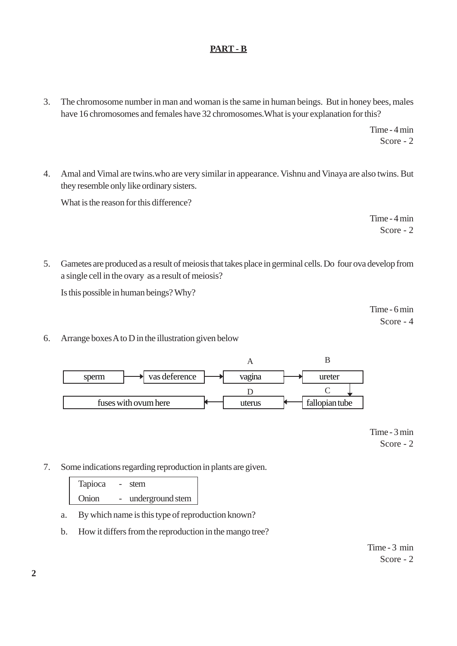# **PART - B**

3. The chromosome number in man and woman is the same in human beings. But in honey bees, males have 16 chromosomes and females have 32 chromosomes.What is your explanation for this?

> Time - 4 min Score - 2

4. Amal and Vimal are twins.who are very similar in appearance. Vishnu and Vinaya are also twins. But they resemble only like ordinary sisters.

What is the reason for this difference?

Time - 4 min Score - 2

5. Gametes are produced as a result of meiosis that takes place in germinal cells. Do four ova develop from a single cell in the ovary as a result of meiosis?

Is this possible in human beings? Why?

Time - 6 min Score - 4

6. Arrange boxes A to D in the illustration given below



Time - 3 min Score - 2

7. Some indications regarding reproduction in plants are given.

Tapioca - stem Onion - underground stem

- a. By which name is this type of reproduction known?
- b. How it differs from the reproduction in the mango tree?

Time - 3 min Score - 2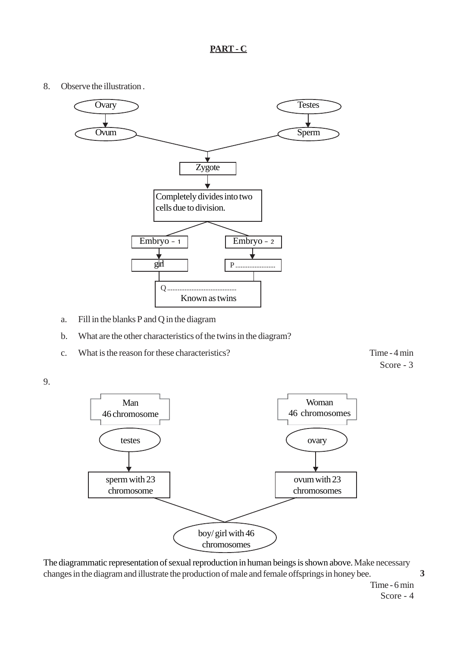# **PART - C**

8. Observe the illustration .



- a. Fill in the blanks P and Q in the diagram
- b. What are the other characteristics of the twins in the diagram?
- c. What is the reason for these characteristics? Time 4 min

Score - 3





The diagrammatic representation of sexual reproduction in human beings is shown above. Make necessary changes in the diagram and illustrate the production of male and female offsprings in honey bee.

> Time - 6 min Score - 4

**3**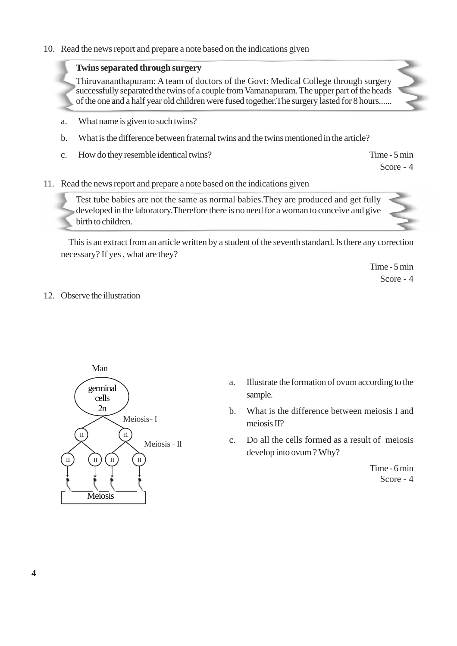#### 10. Read the news report and prepare a note based on the indications given

### **Twins separated through surgery**

Thiruvananthapuram: A team of doctors of the Govt: Medical College through surgery successfully separated the twins of a couple from Vamanapuram. The upper part of the heads of the one and a half year old children were fused together.The surgery lasted for 8 hours......

- a. What name is given to such twins?
- b. What is the difference between fraternal twins and the twins mentioned in the article?
- c. How do they resemble identical twins? Time 5 min

Score - 4

11. Read the news report and prepare a note based on the indications given

Test tube babies are not the same as normal babies.They are produced and get fully developed in the laboratory.Therefore there is no need for a woman to conceive and give birth to children.

This is an extract from an article written by a student of the seventh standard. Is there any correction necessary? If yes , what are they?

> Time - 5 min Score - 4

#### 12. Observe the illustration



- a. Illustrate the formation of ovum according to the sample.
- b. What is the difference between meiosis I and meiosis II?
- c. Do all the cells formed as a result of meiosis develop into ovum ? Why?

Time - 6 min Score - 4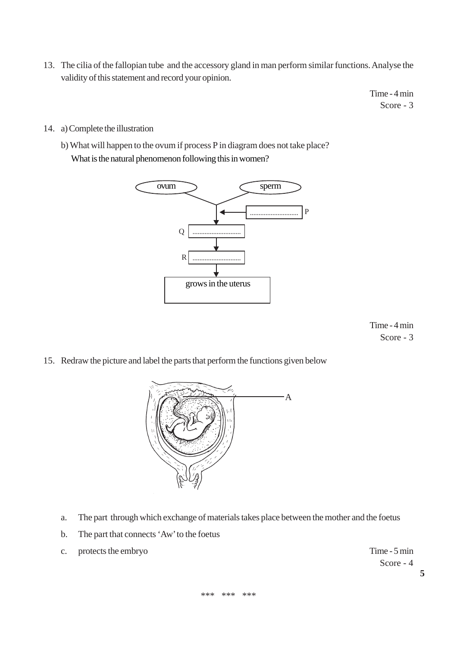13. The cilia of the fallopian tube and the accessory gland in man perform similar functions. Analyse the validity of this statement and record your opinion.

> Time - 4 min Score - 3

14. a) Complete the illustration

b) What will happen to the ovum if process P in diagram does not take place? What is the natural phenomenon following this in women?



Time - 4 min Score - 3

15. Redraw the picture and label the parts that perform the functions given below



- a. The part through which exchange of materials takes place between the mother and the foetus
- b. The part that connects 'Aw' to the foetus
- c. protects the embryo Time 5 min

Score - 4

**5**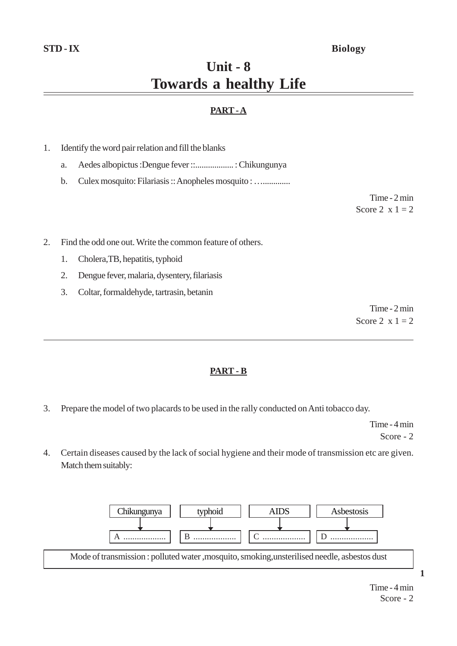# **STD - IX Biology**

# **Unit - 8 Towards a healthy Life**

# **PART - A**

- 1. Identify the word pair relation and fill the blanks
	- a. Aedes albopictus :Dengue fever ::.................. : Chikungunya
	- b. Culex mosquito: Filariasis :: Anopheles mosquito : ….............

Time - 2 min Score 2  $x = 1 = 2$ 

2. Find the odd one out. Write the common feature of others.

- 1. Cholera,TB, hepatitis, typhoid
- 2. Dengue fever, malaria, dysentery, filariasis
- 3. Coltar, formaldehyde, tartrasin, betanin

Time - 2 min Score 2  $x = 1 = 2$ 

#### **PART - B**

3. Prepare the model of two placards to be used in the rally conducted on Anti tobacco day.

Time - 4 min Score - 2

4. Certain diseases caused by the lack of social hygiene and their mode of transmission etc are given. Match them suitably:



**1**

Time - 4 min Score - 2